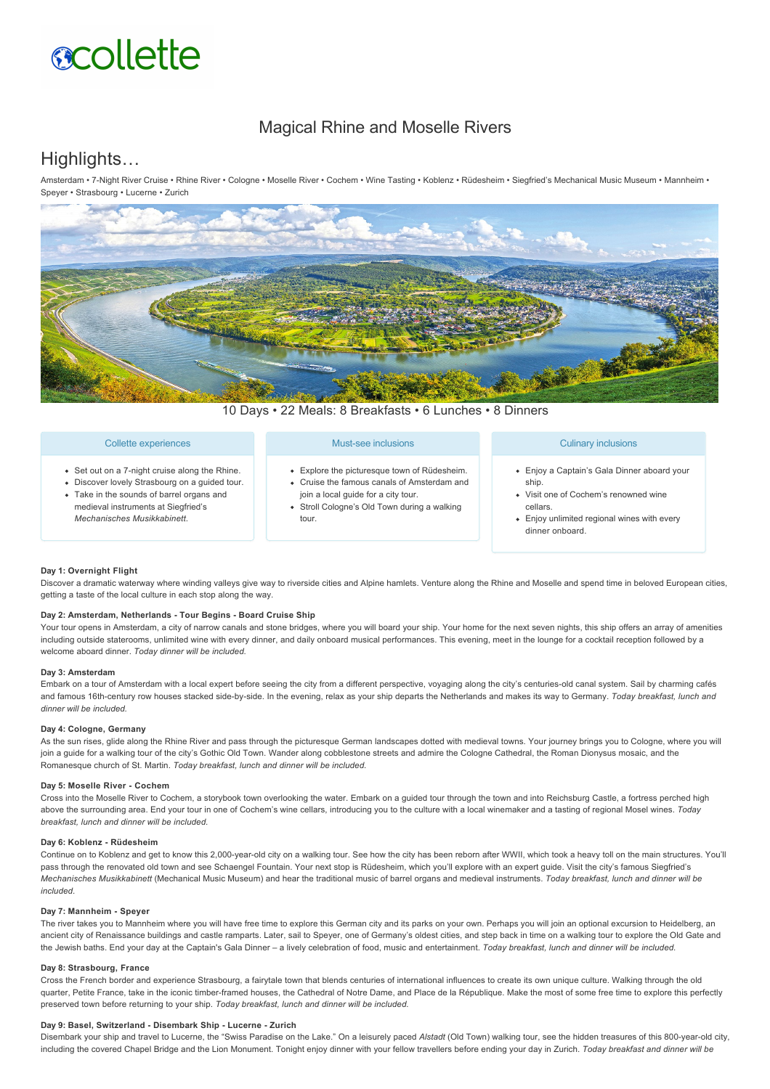# **acollette**

# Magical Rhine and Moselle Rivers

# Highlights…

Amsterdam • 7Night River Cruise • Rhine River • Cologne • Moselle River • Cochem • Wine Tasting • Koblenz • Rüdesheim • Siegfried's Mechanical Music Museum • Mannheim • Speyer • Strasbourg • Lucerne • Zurich



10 Days • 22 Meals: 8 Breakfasts • 6 Lunches • 8 Dinners

|  | Collette experiences |  |
|--|----------------------|--|

- Set out on a 7-night cruise along the Rhine.
- Discover lovely Strasbourg on a guided tour.
- Take in the sounds of barrel organs and
- medieval instruments at Siegfried's *Mechanisches Musikkabinett*.

## Must-see inclusions

- Explore the picturesque town of Rüdesheim. Cruise the famous canals of Amsterdam and
- join a local guide for a city tour. Stroll Cologne's Old Town during a walking
- tour.

# Culinary inclusions

- Enjoy a Captain's Gala Dinner aboard your ship.
- Visit one of Cochem's renowned wine cellars.
- Enjoy unlimited regional wines with every dinner onboard.

# **Day 1: Overnight Flight**

Discover a dramatic waterway where winding valleys give way to riverside cities and Alpine hamlets. Venture along the Rhine and Moselle and spend time in beloved European cities, getting a taste of the local culture in each stop along the way.

#### Day 2: Amsterdam, Netherlands - Tour Begins - Board Cruise Ship

Your tour opens in Amsterdam, a city of narrow canals and stone bridges, where you will board your ship. Your home for the next seven nights, this ship offers an array of amenities including outside staterooms, unlimited wine with every dinner, and daily onboard musical performances. This evening, meet in the lounge for a cocktail reception followed by a welcome aboard dinner. *Today dinner will be included.*

# **Day 3: Amsterdam**

Embark on a tour of Amsterdam with a local expert before seeing the city from a different perspective, voyaging along the city's centuries-old canal system. Sail by charming cafés and famous 16th-century row houses stacked side-by-side. In the evening, relax as your ship departs the Netherlands and makes its way to Germany. Today breakfast, lunch and *dinner will be included.*

## **Day 4: Cologne, Germany**

As the sun rises, glide along the Rhine River and pass through the picturesque German landscapes dotted with medieval towns. Your journey brings you to Cologne, where you will join a guide for a walking tour of the city's Gothic Old Town. Wander along cobblestone streets and admire the Cologne Cathedral, the Roman Dionysus mosaic, and the Romanesque church of St. Martin. *Today breakfast, lunch and dinner will be included.*

#### **Day 5: Moselle River Cochem**

Cross into the Moselle River to Cochem, a storybook town overlooking the water. Embark on a guided tour through the town and into Reichsburg Castle, a fortress perched high above the surrounding area. End your tour in one of Cochem's wine cellars, introducing you to the culture with a local winemaker and a tasting of regional Mosel wines. *Today breakfast, lunch and dinner will be included.*

# **Day 6: Koblenz Rüdesheim**

Continue on to Koblenz and get to know this 2,000-year-old city on a walking tour. See how the city has been reborn after WWII, which took a heavy toll on the main structures. You'll pass through the renovated old town and see Schaengel Fountain. Your next stop is Rüdesheim, which you'll explore with an expert guide. Visit the city's famous Siegfried's *Mechanisches Musikkabinett* (Mechanical Music Museum) and hear the traditional music of barrel organs and medieval instruments. *Today breakfast, lunch and dinner will be included.*

## Day 7: Mannheim - Speyer

The river takes you to Mannheim where you will have free time to explore this German city and its parks on your own. Perhaps you will join an optional excursion to Heidelberg, an ancient city of Renaissance buildings and castle ramparts. Later, sail to Speyer, one of Germany's oldest cities, and step back in time on a walking tour to explore the Old Gate and the Jewish baths. End your day at the Captain's Gala Dinner – a lively celebration of food, music and entertainment. *Today breakfast, lunch and dinner will be included.*

#### **Day 8: Strasbourg, France**

Cross the French border and experience Strasbourg, a fairytale town that blends centuries of international influences to create its own unique culture. Walking through the old quarter, Petite France, take in the iconic timber-framed houses, the Cathedral of Notre Dame, and Place de la République. Make the most of some free time to explore this perfectly preserved town before returning to your ship. *Today breakfast, lunch and dinner will be included.*

#### Day 9: Basel, Switzerland - Disembark Ship - Lucerne - Zurich

Disembark your ship and travel to Lucerne, the "Swiss Paradise on the Lake." On a leisurely paced *Alstadt* (Old Town) walking tour, see the hidden treasures of this 800yearold city, including the covered Chapel Bridge and the Lion Monument. Tonight enjoy dinner with your fellow travellers before ending your day in Zurich. *Today breakfast and dinner will be*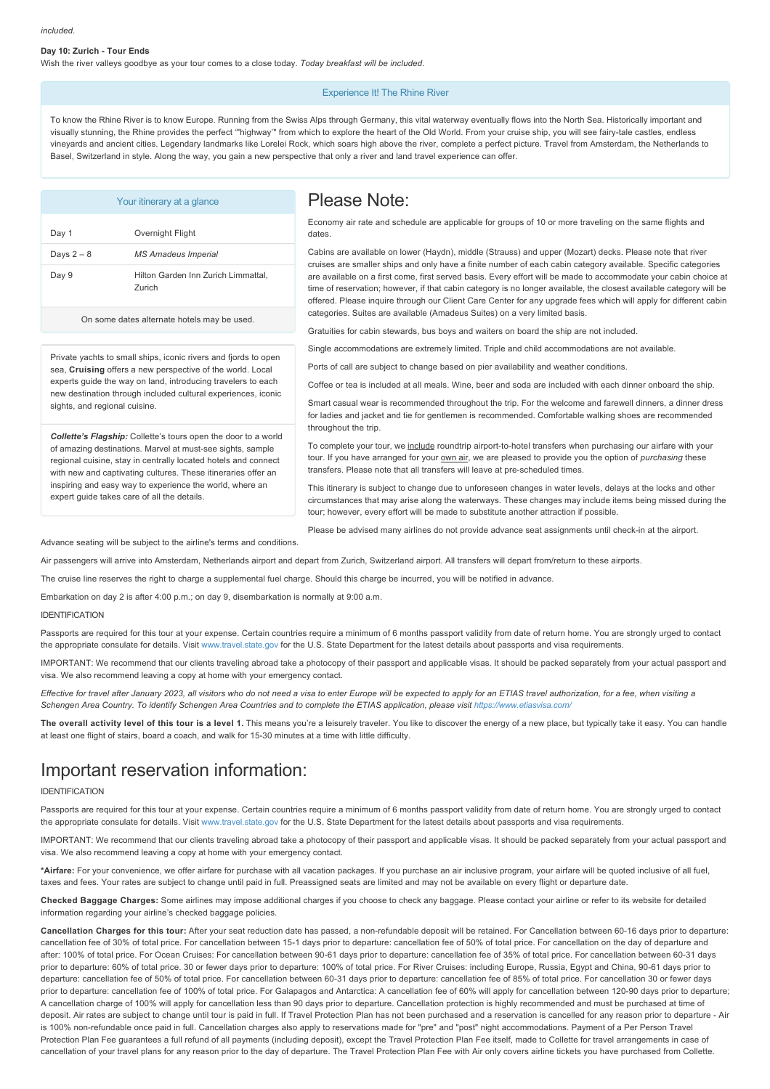#### Day 10: Zurich - Tour Ends

Wish the river valleys goodbye as your tour comes to a close today. *Today breakfast will be included* 

#### Experience It! The Rhine River

To know the Rhine River is to know Europe. Running from the Swiss Alps through Germany, this vital waterway eventually flows into the North Sea. Historically important and visually stunning, the Rhine provides the perfect '"highway'" from which to explore the heart of the Old World. From your cruise ship, you will see fairytale castles, endless vineyards and ancient cities. Legendary landmarks like Lorelei Rock, which soars high above the river, complete a perfect picture. Travel from Amsterdam, the Netherlands to Basel, Switzerland in style. Along the way, you gain a new perspective that only a river and land travel experience can offer.

|                                                                                                                                                                                                                                                                                                                                                                                                                                                                                                                                                                                                                                | Your itinerary at a glance                    | Please Note:                                                                                                                                                                                                                                                                                                                                                                                                                                                                                                                                                                                                                                                                                                                                                                                   |
|--------------------------------------------------------------------------------------------------------------------------------------------------------------------------------------------------------------------------------------------------------------------------------------------------------------------------------------------------------------------------------------------------------------------------------------------------------------------------------------------------------------------------------------------------------------------------------------------------------------------------------|-----------------------------------------------|------------------------------------------------------------------------------------------------------------------------------------------------------------------------------------------------------------------------------------------------------------------------------------------------------------------------------------------------------------------------------------------------------------------------------------------------------------------------------------------------------------------------------------------------------------------------------------------------------------------------------------------------------------------------------------------------------------------------------------------------------------------------------------------------|
| Day 1                                                                                                                                                                                                                                                                                                                                                                                                                                                                                                                                                                                                                          | Overnight Flight                              | Economy air rate and schedule are applicable for groups of 10 or more traveling on the same flights and<br>dates.                                                                                                                                                                                                                                                                                                                                                                                                                                                                                                                                                                                                                                                                              |
| Days $2-8$                                                                                                                                                                                                                                                                                                                                                                                                                                                                                                                                                                                                                     | <b>MS Amadeus Imperial</b>                    | Cabins are available on lower (Haydn), middle (Strauss) and upper (Mozart) decks. Please note that river                                                                                                                                                                                                                                                                                                                                                                                                                                                                                                                                                                                                                                                                                       |
| Day 9                                                                                                                                                                                                                                                                                                                                                                                                                                                                                                                                                                                                                          | Hilton Garden Inn Zurich Limmattal,<br>Zurich | cruises are smaller ships and only have a finite number of each cabin category available. Specific categories<br>are available on a first come, first served basis. Every effort will be made to accommodate your cabin choice at<br>time of reservation; however, if that cabin category is no longer available, the closest available category will be<br>offered. Please inquire through our Client Care Center for any upgrade fees which will apply for different cabin                                                                                                                                                                                                                                                                                                                   |
| On some dates alternate hotels may be used.                                                                                                                                                                                                                                                                                                                                                                                                                                                                                                                                                                                    |                                               | categories. Suites are available (Amadeus Suites) on a very limited basis.<br>Gratuities for cabin stewards, bus boys and waiters on board the ship are not included.                                                                                                                                                                                                                                                                                                                                                                                                                                                                                                                                                                                                                          |
| Private yachts to small ships, iconic rivers and fjords to open<br>sea, Cruising offers a new perspective of the world. Local<br>experts guide the way on land, introducing travelers to each<br>new destination through included cultural experiences, iconic<br>sights, and regional cuisine.<br>Collette's Flagship: Collette's tours open the door to a world<br>of amazing destinations. Marvel at must-see sights, sample<br>regional cuisine, stay in centrally located hotels and connect<br>with new and captivating cultures. These itineraries offer an<br>inspiring and easy way to experience the world, where an |                                               | Single accommodations are extremely limited. Triple and child accommodations are not available.<br>Ports of call are subject to change based on pier availability and weather conditions.                                                                                                                                                                                                                                                                                                                                                                                                                                                                                                                                                                                                      |
|                                                                                                                                                                                                                                                                                                                                                                                                                                                                                                                                                                                                                                |                                               | Coffee or tea is included at all meals. Wine, beer and soda are included with each dinner onboard the ship.<br>Smart casual wear is recommended throughout the trip. For the welcome and farewell dinners, a dinner dress<br>for ladies and jacket and tie for gentlemen is recommended. Comfortable walking shoes are recommended<br>throughout the trip.<br>To complete your tour, we include roundtrip airport-to-hotel transfers when purchasing our airfare with your<br>tour. If you have arranged for your own air, we are pleased to provide you the option of <i>purchasing</i> these<br>transfers. Please note that all transfers will leave at pre-scheduled times.<br>This itinerary is subject to change due to unforeseen changes in water levels, delays at the locks and other |
|                                                                                                                                                                                                                                                                                                                                                                                                                                                                                                                                                                                                                                |                                               |                                                                                                                                                                                                                                                                                                                                                                                                                                                                                                                                                                                                                                                                                                                                                                                                |
|                                                                                                                                                                                                                                                                                                                                                                                                                                                                                                                                                                                                                                |                                               | Please be advised many airlines do not provide advance seat assignments until check-in at the airport.                                                                                                                                                                                                                                                                                                                                                                                                                                                                                                                                                                                                                                                                                         |

Advance seating will be subject to the airline's terms and conditions.

Air passengers will arrive into Amsterdam, Netherlands airport and depart from Zurich, Switzerland airport. All transfers will depart from/return to these airports.

The cruise line reserves the right to charge a supplemental fuel charge. Should this charge be incurred, you will be notified in advance.

Embarkation on day 2 is after 4:00 p.m.; on day 9, disembarkation is normally at 9:00 a.m.

#### IDENTIFICATION

Passports are required for this tour at your expense. Certain countries require a minimum of 6 months passport validity from date of return home. You are strongly urged to contact the appropriate consulate for details. Visit [www.travel.state.gov](https://itinerary.collette.com/Documents/Flyer/14385/USD/www.travel.state.gov) for the U.S. State Department for the latest details about passports and visa requirements.

IMPORTANT: We recommend that our clients traveling abroad take a photocopy of their passport and applicable visas. It should be packed separately from your actual passport and visa. We also recommend leaving a copy at home with your emergency contact.

*Effective for travel after January 2023, all visitors who do not need a visa to enter Europe will be expected to apply for an ETIAS travel authorization, for a fee, when visiting a* Schengen Area Country. To identify Schengen Area Countries and to complete the ETIAS application, please visit<https://www.etiasvisa.com/>

**The overall activity level of this tour is a level 1.** This means you're a leisurely traveler. You like to discover the energy of a new place, but typically take it easy. You can handle at least one flight of stairs, board a coach, and walk for 15-30 minutes at a time with little difficulty.

# Important reservation information:

#### IDENTIFICATION

Passports are required for this tour at your expense. Certain countries require a minimum of 6 months passport validity from date of return home. You are strongly urged to contact the appropriate consulate for details. Visit [www.travel.state.gov](https://itinerary.collette.com/Documents/Flyer/14385/USD/www.travel.state.gov) for the U.S. State Department for the latest details about passports and visa requirements.

IMPORTANT: We recommend that our clients traveling abroad take a photocopy of their passport and applicable visas. It should be packed separately from your actual passport and visa. We also recommend leaving a copy at home with your emergency contact.

**\*Airfare:** For your convenience, we offer airfare for purchase with all vacation packages. If you purchase an air inclusive program, your airfare will be quoted inclusive of all fuel, taxes and fees. Your rates are subject to change until paid in full. Preassigned seats are limited and may not be available on every flight or departure date.

**Checked Baggage Charges:** Some airlines may impose additional charges if you choose to check any baggage. Please contact your airline or refer to its website for detailed information regarding your airline's checked baggage policies.

Cancellation Charges for this tour: After your seat reduction date has passed, a non-refundable deposit will be retained. For Cancellation between 60-16 days prior to departure: cancellation fee of 30% of total price. For cancellation between 15-1 days prior to departure: cancellation fee of 50% of total price. For cancellation on the day of departure and after: 100% of total price. For Ocean Cruises: For cancellation between 9061 days prior to departure: cancellation fee of 35% of total price. For cancellation between 6031 days prior to departure: 60% of total price. 30 or fewer days prior to departure: 100% of total price. For River Cruises: including Europe, Russia, Egypt and China, 90-61 days prior to departure: cancellation fee of 50% of total price. For cancellation between 60-31 days prior to departure: cancellation fee of 85% of total price. For cancellation 30 or fewer days prior to departure: cancellation fee of 100% of total price. For Galapagos and Antarctica: A cancellation fee of 60% will apply for cancellation between 120-90 days prior to departure; A cancellation charge of 100% will apply for cancellation less than 90 days prior to departure. Cancellation protection is highly recommended and must be purchased at time of deposit. Air rates are subject to change until tour is paid in full. If Travel Protection Plan has not been purchased and a reservation is cancelled for any reason prior to departure - Air is 100% non-refundable once paid in full. Cancellation charges also apply to reservations made for "pre" and "post" night accommodations. Payment of a Per Person Travel Protection Plan Fee guarantees a full refund of all payments (including deposit), except the Travel Protection Plan Fee itself, made to Collette for travel arrangements in case of cancellation of your travel plans for any reason prior to the day of departure. The Travel Protection Plan Fee with Air only covers airline tickets you have purchased from Collette.